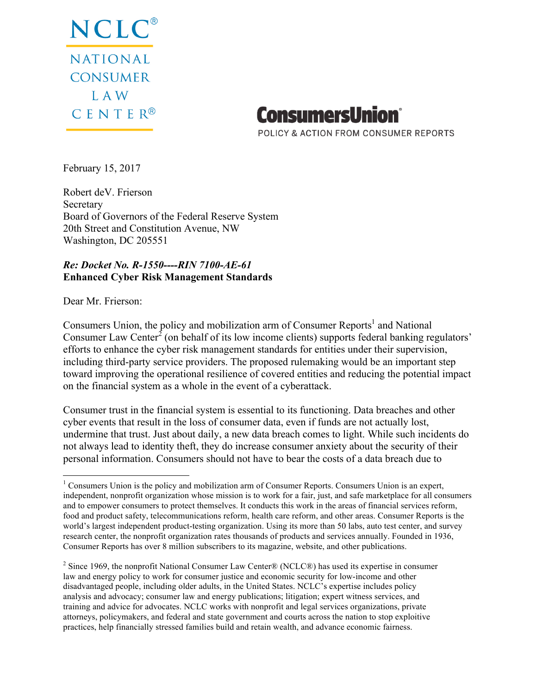



POLICY & ACTION FROM CONSUMER REPORTS

February 15, 2017

Robert deV. Frierson **Secretary** Board of Governors of the Federal Reserve System 20th Street and Constitution Avenue, NW Washington, DC 205551

## *Re: Docket No. R-1550----RIN 7100-AE-61* **Enhanced Cyber Risk Management Standards**

Dear Mr. Frierson:

Consumers Union, the policy and mobilization arm of Consumer Reports<sup>1</sup> and National Consumer Law Center<sup>2</sup> (on behalf of its low income clients) supports federal banking regulators' efforts to enhance the cyber risk management standards for entities under their supervision, including third-party service providers. The proposed rulemaking would be an important step toward improving the operational resilience of covered entities and reducing the potential impact on the financial system as a whole in the event of a cyberattack.

Consumer trust in the financial system is essential to its functioning. Data breaches and other cyber events that result in the loss of consumer data, even if funds are not actually lost, undermine that trust. Just about daily, a new data breach comes to light. While such incidents do not always lead to identity theft, they do increase consumer anxiety about the security of their personal information. Consumers should not have to bear the costs of a data breach due to

<sup>2</sup> Since 1969, the nonprofit National Consumer Law Center® (NCLC®) has used its expertise in consumer law and energy policy to work for consumer justice and economic security for low-income and other disadvantaged people, including older adults, in the United States. NCLC's expertise includes policy analysis and advocacy; consumer law and energy publications; litigation; expert witness services, and training and advice for advocates. NCLC works with nonprofit and legal services organizations, private attorneys, policymakers, and federal and state government and courts across the nation to stop exploitive practices, help financially stressed families build and retain wealth, and advance economic fairness.

<sup>&</sup>lt;sup>1</sup> Consumers Union is the policy and mobilization arm of Consumer Reports. Consumers Union is an expert, independent, nonprofit organization whose mission is to work for a fair, just, and safe marketplace for all consumers and to empower consumers to protect themselves. It conducts this work in the areas of financial services reform, food and product safety, telecommunications reform, health care reform, and other areas. Consumer Reports is the world's largest independent product-testing organization. Using its more than 50 labs, auto test center, and survey research center, the nonprofit organization rates thousands of products and services annually. Founded in 1936, Consumer Reports has over 8 million subscribers to its magazine, website, and other publications.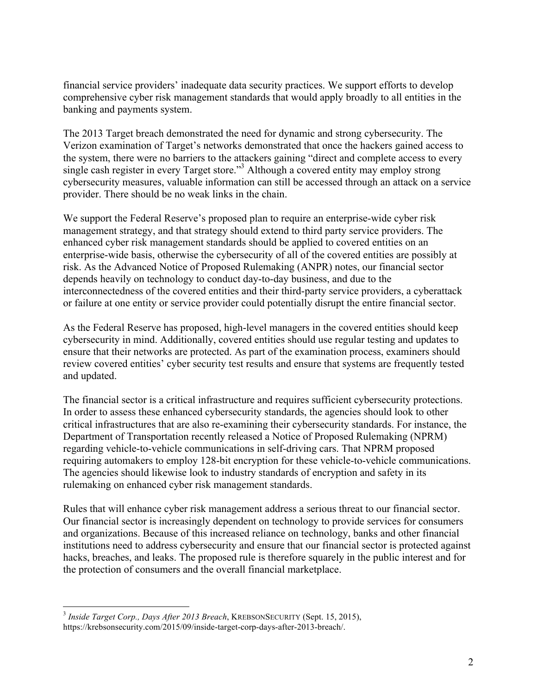financial service providers' inadequate data security practices. We support efforts to develop comprehensive cyber risk management standards that would apply broadly to all entities in the banking and payments system.

The 2013 Target breach demonstrated the need for dynamic and strong cybersecurity. The Verizon examination of Target's networks demonstrated that once the hackers gained access to the system, there were no barriers to the attackers gaining "direct and complete access to every single cash register in every Target store."<sup>3</sup> Although a covered entity may employ strong cybersecurity measures, valuable information can still be accessed through an attack on a service provider. There should be no weak links in the chain.

We support the Federal Reserve's proposed plan to require an enterprise-wide cyber risk management strategy, and that strategy should extend to third party service providers. The enhanced cyber risk management standards should be applied to covered entities on an enterprise-wide basis, otherwise the cybersecurity of all of the covered entities are possibly at risk. As the Advanced Notice of Proposed Rulemaking (ANPR) notes, our financial sector depends heavily on technology to conduct day-to-day business, and due to the interconnectedness of the covered entities and their third-party service providers, a cyberattack or failure at one entity or service provider could potentially disrupt the entire financial sector.

As the Federal Reserve has proposed, high-level managers in the covered entities should keep cybersecurity in mind. Additionally, covered entities should use regular testing and updates to ensure that their networks are protected. As part of the examination process, examiners should review covered entities' cyber security test results and ensure that systems are frequently tested and updated.

The financial sector is a critical infrastructure and requires sufficient cybersecurity protections. In order to assess these enhanced cybersecurity standards, the agencies should look to other critical infrastructures that are also re-examining their cybersecurity standards. For instance, the Department of Transportation recently released a Notice of Proposed Rulemaking (NPRM) regarding vehicle-to-vehicle communications in self-driving cars. That NPRM proposed requiring automakers to employ 128-bit encryption for these vehicle-to-vehicle communications. The agencies should likewise look to industry standards of encryption and safety in its rulemaking on enhanced cyber risk management standards.

Rules that will enhance cyber risk management address a serious threat to our financial sector. Our financial sector is increasingly dependent on technology to provide services for consumers and organizations. Because of this increased reliance on technology, banks and other financial institutions need to address cybersecurity and ensure that our financial sector is protected against hacks, breaches, and leaks. The proposed rule is therefore squarely in the public interest and for the protection of consumers and the overall financial marketplace.

 <sup>3</sup> *Inside Target Corp., Days After 2013 Breach*, KREBSONSECURITY (Sept. 15, 2015), https://krebsonsecurity.com/2015/09/inside-target-corp-days-after-2013-breach/.